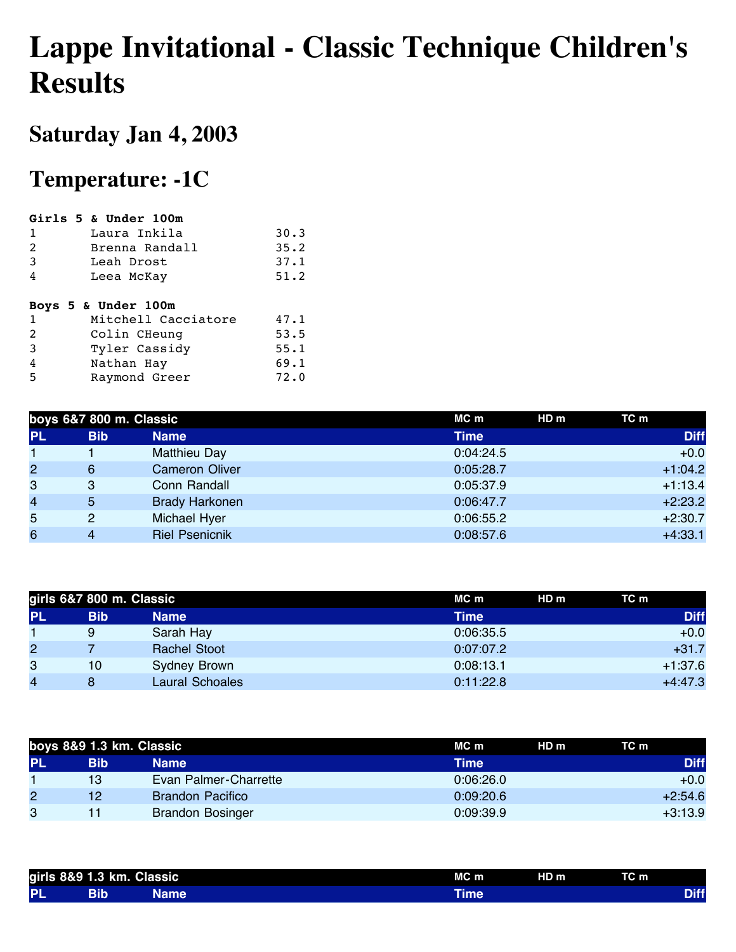## **Lappe Invitational - Classic Technique Children's Results**

## **Saturday Jan 4, 2003**

## **Temperature: -1C**

|                | Girls 5 & Under 100m |      |
|----------------|----------------------|------|
| 1              | Laura Inkila         | 30.3 |
| 2              | Brenna Randall       | 35.2 |
| 3              | Leah Drost           | 37.1 |
| 4              | Leea McKay           | 51.2 |
|                |                      |      |
|                |                      |      |
|                | Boys 5 & Under 100m  |      |
| 1              | Mitchell Cacciatore  | 47.1 |
| $\overline{2}$ | Colin CHeung         | 53.5 |
| 3              | Tyler Cassidy        | 55.1 |
| 4              | Nathan Hay           | 69.1 |

|                | boys 6&7 800 m. Classic |                       | MC m        | HD <sub>m</sub> | TC m        |
|----------------|-------------------------|-----------------------|-------------|-----------------|-------------|
| <b>PL</b>      | <b>Bib</b>              | <b>Name</b>           | <b>Time</b> |                 | <b>Diff</b> |
|                |                         | <b>Matthieu Day</b>   | 0:04:24.5   |                 | $+0.0$      |
| $\overline{2}$ | 6                       | <b>Cameron Oliver</b> | 0:05:28.7   |                 | $+1:04.2$   |
| 3              | 3                       | Conn Randall          | 0:05:37.9   |                 | $+1:13.4$   |
| $\overline{4}$ | 5                       | <b>Brady Harkonen</b> | 0:06:47.7   |                 | $+2:23.2$   |
| 5              | 2                       | <b>Michael Hyer</b>   | 0:06:55.2   |                 | $+2:30.7$   |
| 6              | 4                       | <b>Riel Psenicnik</b> | 0:08:57.6   |                 | $+4:33.1$   |

|                | girls 6&7 800 m. Classic |                     | MC m<br>HD m | TC m        |
|----------------|--------------------------|---------------------|--------------|-------------|
| <b>PL</b>      | <b>Bib</b>               | <b>Name</b>         | Time         | <b>Diff</b> |
|                | 9                        | Sarah Hay           | 0:06:35.5    | $+0.0$      |
| $\overline{2}$ |                          | <b>Rachel Stoot</b> | 0:07:07.2    | $+31.7$     |
| 3              | 10                       | <b>Sydney Brown</b> | 0:08:13.1    | $+1:37.6$   |
| $\overline{4}$ |                          | Laural Schoales     | 0:11:22.8    | $+4:47.3$   |

| boys 8&9 1.3 km. Classic |     |                         | HDm<br>MC m | TC m        |
|--------------------------|-----|-------------------------|-------------|-------------|
| <b>PL</b>                | Bib | <b>Name</b>             | Time        | <b>Diff</b> |
|                          | 13  | Evan Palmer-Charrette   | 0:06:26.0   | $+0.0$      |
| 2                        | 12. | <b>Brandon Pacifico</b> | 0:09:20.6   | $+2:54.6$   |
| 3                        |     | <b>Brandon Bosinger</b> | 0:09:39.9   | $+3:13.9$   |

|           | girls 8&9 1.3 km. Classic |      | $MC$ m | $HD$ m | TCm |  |
|-----------|---------------------------|------|--------|--------|-----|--|
| <b>PL</b> | Bib                       | Name | ⊺ime   |        |     |  |